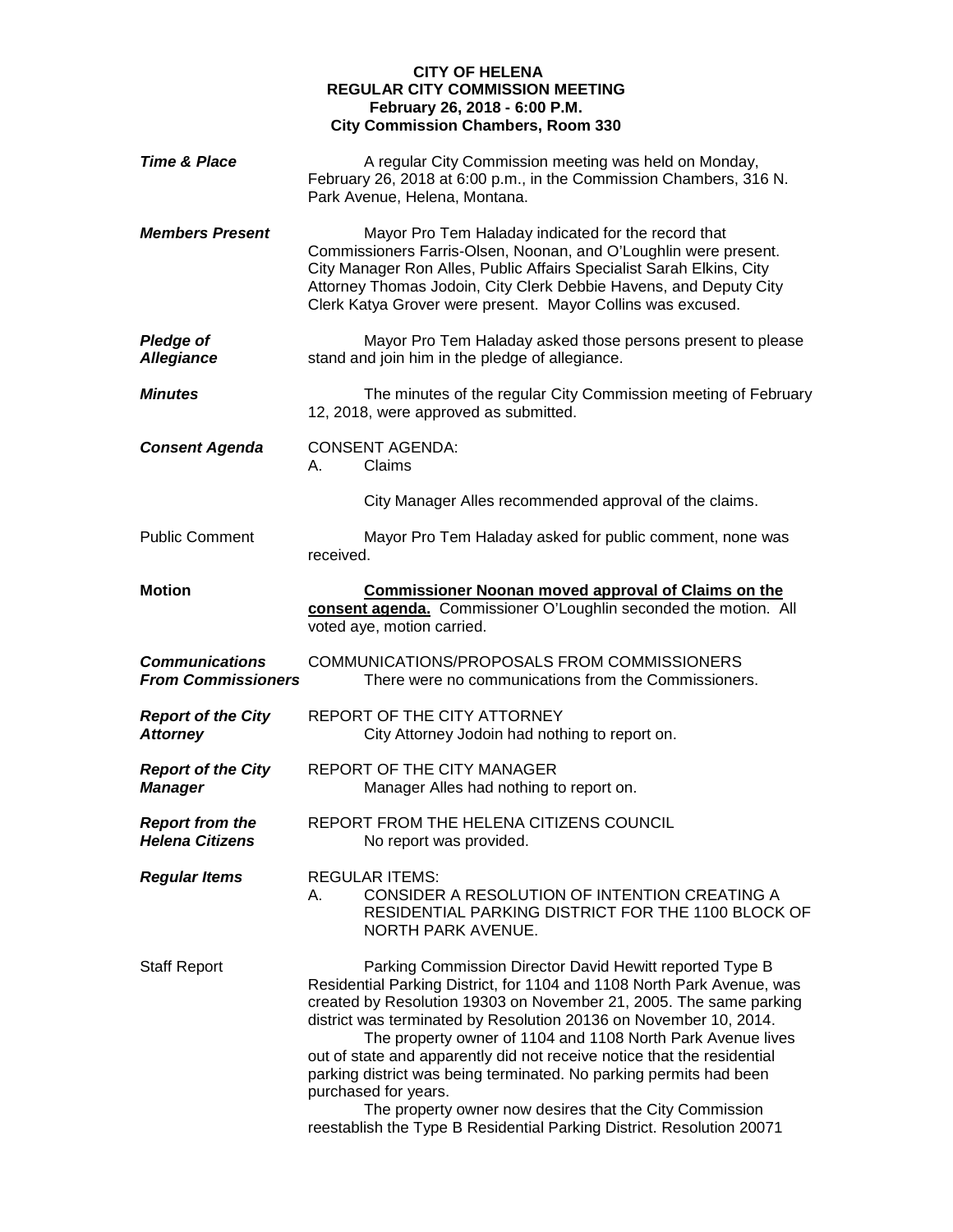## **CITY OF HELENA REGULAR CITY COMMISSION MEETING February 26, 2018 - 6:00 P.M. City Commission Chambers, Room 330**

| <b>Time &amp; Place</b>                            | A regular City Commission meeting was held on Monday,<br>February 26, 2018 at 6:00 p.m., in the Commission Chambers, 316 N.<br>Park Avenue, Helena, Montana.                                                                                                                                                                                                                                                                                                                                                                                                                                                                                              |
|----------------------------------------------------|-----------------------------------------------------------------------------------------------------------------------------------------------------------------------------------------------------------------------------------------------------------------------------------------------------------------------------------------------------------------------------------------------------------------------------------------------------------------------------------------------------------------------------------------------------------------------------------------------------------------------------------------------------------|
| <b>Members Present</b>                             | Mayor Pro Tem Haladay indicated for the record that<br>Commissioners Farris-Olsen, Noonan, and O'Loughlin were present.<br>City Manager Ron Alles, Public Affairs Specialist Sarah Elkins, City<br>Attorney Thomas Jodoin, City Clerk Debbie Havens, and Deputy City<br>Clerk Katya Grover were present. Mayor Collins was excused.                                                                                                                                                                                                                                                                                                                       |
| <b>Pledge of</b><br><b>Allegiance</b>              | Mayor Pro Tem Haladay asked those persons present to please<br>stand and join him in the pledge of allegiance.                                                                                                                                                                                                                                                                                                                                                                                                                                                                                                                                            |
| Minutes                                            | The minutes of the regular City Commission meeting of February<br>12, 2018, were approved as submitted.                                                                                                                                                                                                                                                                                                                                                                                                                                                                                                                                                   |
| <b>Consent Agenda</b>                              | <b>CONSENT AGENDA:</b><br>Claims<br>А.                                                                                                                                                                                                                                                                                                                                                                                                                                                                                                                                                                                                                    |
|                                                    | City Manager Alles recommended approval of the claims.                                                                                                                                                                                                                                                                                                                                                                                                                                                                                                                                                                                                    |
| <b>Public Comment</b>                              | Mayor Pro Tem Haladay asked for public comment, none was<br>received.                                                                                                                                                                                                                                                                                                                                                                                                                                                                                                                                                                                     |
| <b>Motion</b>                                      | <b>Commissioner Noonan moved approval of Claims on the</b><br>consent agenda. Commissioner O'Loughlin seconded the motion. All<br>voted aye, motion carried.                                                                                                                                                                                                                                                                                                                                                                                                                                                                                              |
| <b>Communications</b><br><b>From Commissioners</b> | COMMUNICATIONS/PROPOSALS FROM COMMISSIONERS<br>There were no communications from the Commissioners.                                                                                                                                                                                                                                                                                                                                                                                                                                                                                                                                                       |
| <b>Report of the City</b><br><b>Attorney</b>       | REPORT OF THE CITY ATTORNEY<br>City Attorney Jodoin had nothing to report on.                                                                                                                                                                                                                                                                                                                                                                                                                                                                                                                                                                             |
| <b>Report of the City</b><br><b>Manager</b>        | REPORT OF THE CITY MANAGER<br>Manager Alles had nothing to report on.                                                                                                                                                                                                                                                                                                                                                                                                                                                                                                                                                                                     |
| <b>Report from the</b><br><b>Helena Citizens</b>   | REPORT FROM THE HELENA CITIZENS COUNCIL<br>No report was provided.                                                                                                                                                                                                                                                                                                                                                                                                                                                                                                                                                                                        |
| <b>Regular Items</b>                               | <b>REGULAR ITEMS:</b><br>CONSIDER A RESOLUTION OF INTENTION CREATING A<br>А.<br>RESIDENTIAL PARKING DISTRICT FOR THE 1100 BLOCK OF<br>NORTH PARK AVENUE.                                                                                                                                                                                                                                                                                                                                                                                                                                                                                                  |
| Staff Report                                       | Parking Commission Director David Hewitt reported Type B<br>Residential Parking District, for 1104 and 1108 North Park Avenue, was<br>created by Resolution 19303 on November 21, 2005. The same parking<br>district was terminated by Resolution 20136 on November 10, 2014.<br>The property owner of 1104 and 1108 North Park Avenue lives<br>out of state and apparently did not receive notice that the residential<br>parking district was being terminated. No parking permits had been<br>purchased for years.<br>The property owner now desires that the City Commission<br>reestablish the Type B Residential Parking District. Resolution 20071 |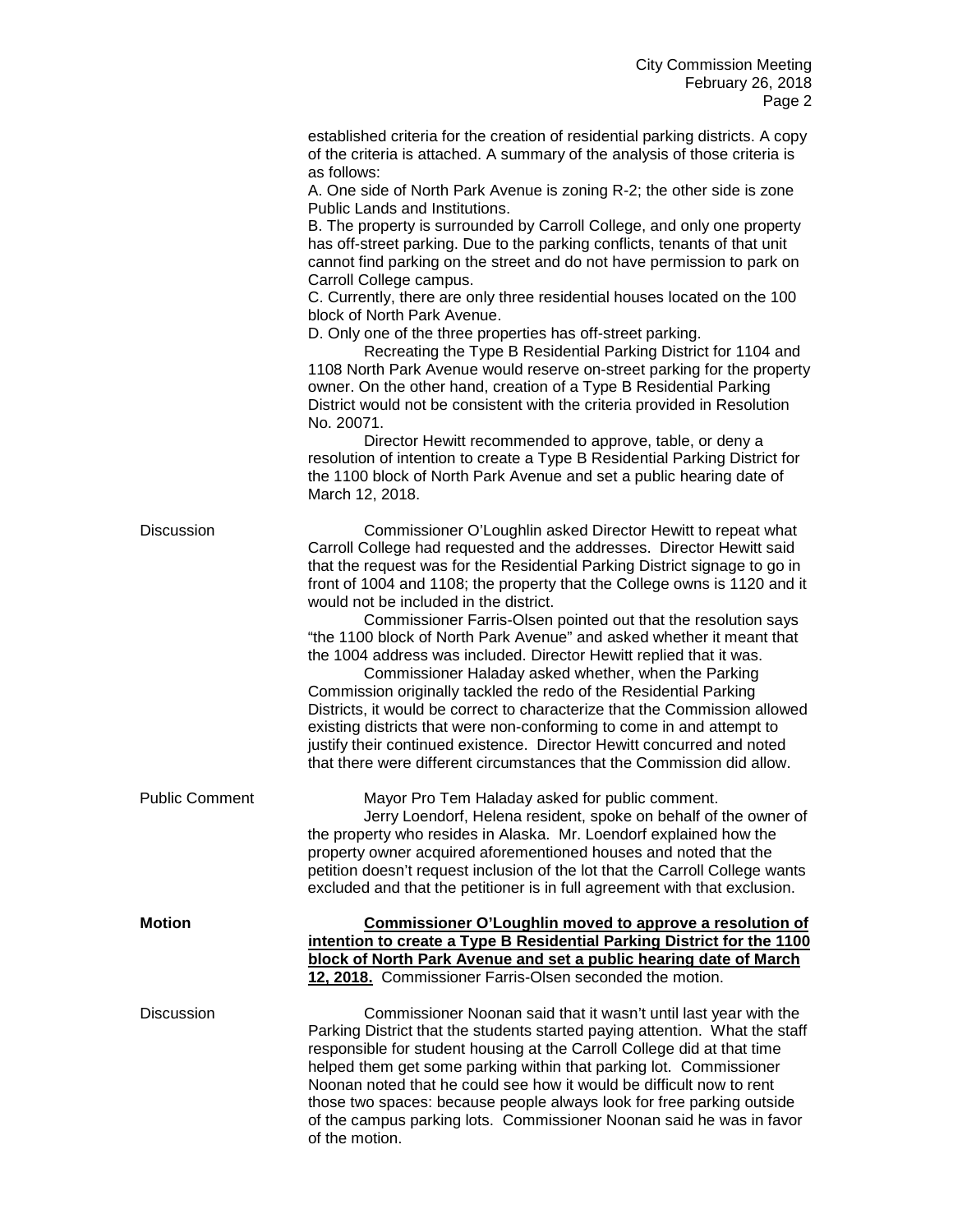| established criteria for the creation of residential parking districts. A copy |
|--------------------------------------------------------------------------------|
| of the criteria is attached. A summary of the analysis of those criteria is    |
| as follows:                                                                    |

A. One side of North Park Avenue is zoning R-2; the other side is zone Public Lands and Institutions.

B. The property is surrounded by Carroll College, and only one property has off-street parking. Due to the parking conflicts, tenants of that unit cannot find parking on the street and do not have permission to park on Carroll College campus.

C. Currently, there are only three residential houses located on the 100 block of North Park Avenue.

D. Only one of the three properties has off-street parking.

Recreating the Type B Residential Parking District for 1104 and 1108 North Park Avenue would reserve on-street parking for the property owner. On the other hand, creation of a Type B Residential Parking District would not be consistent with the criteria provided in Resolution No. 20071.

Director Hewitt recommended to approve, table, or deny a resolution of intention to create a Type B Residential Parking District for the 1100 block of North Park Avenue and set a public hearing date of March 12, 2018.

| <b>Discussion</b>     | Commissioner O'Loughlin asked Director Hewitt to repeat what<br>Carroll College had requested and the addresses. Director Hewitt said<br>that the request was for the Residential Parking District signage to go in<br>front of 1004 and 1108; the property that the College owns is 1120 and it<br>would not be included in the district.<br>Commissioner Farris-Olsen pointed out that the resolution says<br>"the 1100 block of North Park Avenue" and asked whether it meant that<br>the 1004 address was included. Director Hewitt replied that it was.<br>Commissioner Haladay asked whether, when the Parking<br>Commission originally tackled the redo of the Residential Parking<br>Districts, it would be correct to characterize that the Commission allowed<br>existing districts that were non-conforming to come in and attempt to<br>justify their continued existence. Director Hewitt concurred and noted<br>that there were different circumstances that the Commission did allow. |
|-----------------------|------------------------------------------------------------------------------------------------------------------------------------------------------------------------------------------------------------------------------------------------------------------------------------------------------------------------------------------------------------------------------------------------------------------------------------------------------------------------------------------------------------------------------------------------------------------------------------------------------------------------------------------------------------------------------------------------------------------------------------------------------------------------------------------------------------------------------------------------------------------------------------------------------------------------------------------------------------------------------------------------------|
| <b>Public Comment</b> | Mayor Pro Tem Haladay asked for public comment.<br>Jerry Loendorf, Helena resident, spoke on behalf of the owner of<br>the property who resides in Alaska. Mr. Loendorf explained how the<br>property owner acquired aforementioned houses and noted that the<br>petition doesn't request inclusion of the lot that the Carroll College wants<br>excluded and that the petitioner is in full agreement with that exclusion.                                                                                                                                                                                                                                                                                                                                                                                                                                                                                                                                                                          |
| <b>Motion</b>         | Commissioner O'Loughlin moved to approve a resolution of<br>intention to create a Type B Residential Parking District for the 1100<br>block of North Park Avenue and set a public hearing date of March<br>12, 2018. Commissioner Farris-Olsen seconded the motion.                                                                                                                                                                                                                                                                                                                                                                                                                                                                                                                                                                                                                                                                                                                                  |
| <b>Discussion</b>     | Commissioner Noonan said that it wasn't until last year with the<br>Parking District that the students started paying attention. What the staff<br>responsible for student housing at the Carroll College did at that time<br>helped them get some parking within that parking lot. Commissioner<br>Noonan noted that he could see how it would be difficult now to rent<br>those two spaces: because people always look for free parking outside<br>of the campus parking lots. Commissioner Noonan said he was in favor<br>of the motion.                                                                                                                                                                                                                                                                                                                                                                                                                                                          |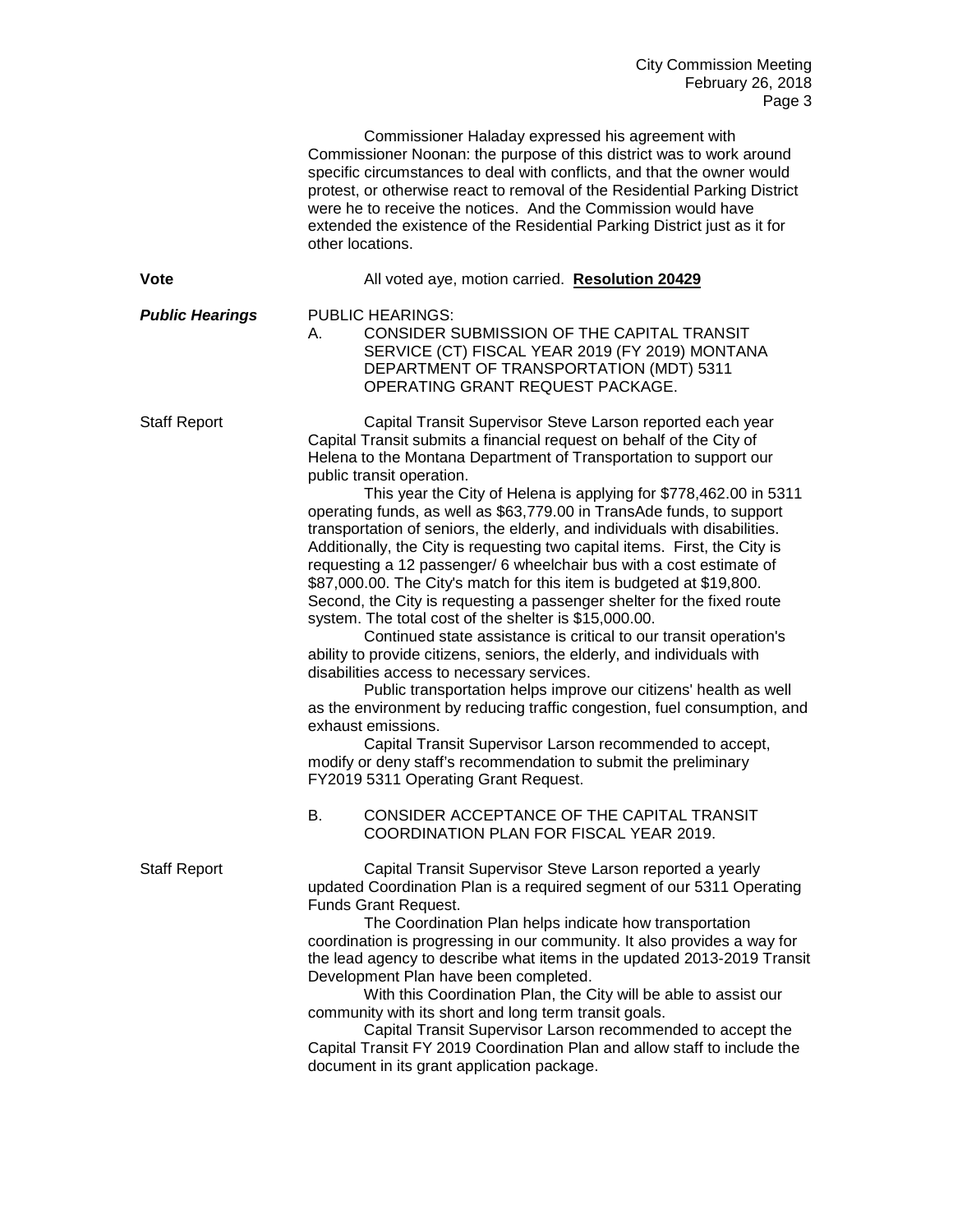|                        | Commissioner Haladay expressed his agreement with<br>Commissioner Noonan: the purpose of this district was to work around<br>specific circumstances to deal with conflicts, and that the owner would<br>protest, or otherwise react to removal of the Residential Parking District<br>were he to receive the notices. And the Commission would have<br>extended the existence of the Residential Parking District just as it for<br>other locations.                                                                                                                                                                                                                                                                                                                                                                                                                                                                                                                                                                                                                                                                                                                                                                                                                                                                                                                                                                                                                       |
|------------------------|----------------------------------------------------------------------------------------------------------------------------------------------------------------------------------------------------------------------------------------------------------------------------------------------------------------------------------------------------------------------------------------------------------------------------------------------------------------------------------------------------------------------------------------------------------------------------------------------------------------------------------------------------------------------------------------------------------------------------------------------------------------------------------------------------------------------------------------------------------------------------------------------------------------------------------------------------------------------------------------------------------------------------------------------------------------------------------------------------------------------------------------------------------------------------------------------------------------------------------------------------------------------------------------------------------------------------------------------------------------------------------------------------------------------------------------------------------------------------|
| <b>Vote</b>            | All voted aye, motion carried. Resolution 20429                                                                                                                                                                                                                                                                                                                                                                                                                                                                                                                                                                                                                                                                                                                                                                                                                                                                                                                                                                                                                                                                                                                                                                                                                                                                                                                                                                                                                            |
| <b>Public Hearings</b> | <b>PUBLIC HEARINGS:</b><br>CONSIDER SUBMISSION OF THE CAPITAL TRANSIT<br>А.<br>SERVICE (CT) FISCAL YEAR 2019 (FY 2019) MONTANA<br>DEPARTMENT OF TRANSPORTATION (MDT) 5311<br>OPERATING GRANT REQUEST PACKAGE.                                                                                                                                                                                                                                                                                                                                                                                                                                                                                                                                                                                                                                                                                                                                                                                                                                                                                                                                                                                                                                                                                                                                                                                                                                                              |
| <b>Staff Report</b>    | Capital Transit Supervisor Steve Larson reported each year<br>Capital Transit submits a financial request on behalf of the City of<br>Helena to the Montana Department of Transportation to support our<br>public transit operation.<br>This year the City of Helena is applying for \$778,462.00 in 5311<br>operating funds, as well as \$63,779.00 in TransAde funds, to support<br>transportation of seniors, the elderly, and individuals with disabilities.<br>Additionally, the City is requesting two capital items. First, the City is<br>requesting a 12 passenger/ 6 wheelchair bus with a cost estimate of<br>\$87,000.00. The City's match for this item is budgeted at \$19,800.<br>Second, the City is requesting a passenger shelter for the fixed route<br>system. The total cost of the shelter is \$15,000.00.<br>Continued state assistance is critical to our transit operation's<br>ability to provide citizens, seniors, the elderly, and individuals with<br>disabilities access to necessary services.<br>Public transportation helps improve our citizens' health as well<br>as the environment by reducing traffic congestion, fuel consumption, and<br>exhaust emissions.<br>Capital Transit Supervisor Larson recommended to accept,<br>modify or deny staff's recommendation to submit the preliminary<br>FY2019 5311 Operating Grant Request.<br>CONSIDER ACCEPTANCE OF THE CAPITAL TRANSIT<br>В.<br>COORDINATION PLAN FOR FISCAL YEAR 2019. |
| <b>Staff Report</b>    | Capital Transit Supervisor Steve Larson reported a yearly<br>updated Coordination Plan is a required segment of our 5311 Operating<br>Funds Grant Request.<br>The Coordination Plan helps indicate how transportation<br>coordination is progressing in our community. It also provides a way for<br>the lead agency to describe what items in the updated 2013-2019 Transit<br>Development Plan have been completed.<br>With this Coordination Plan, the City will be able to assist our<br>community with its short and long term transit goals.<br>Capital Transit Supervisor Larson recommended to accept the<br>Capital Transit FY 2019 Coordination Plan and allow staff to include the<br>document in its grant application package.                                                                                                                                                                                                                                                                                                                                                                                                                                                                                                                                                                                                                                                                                                                                |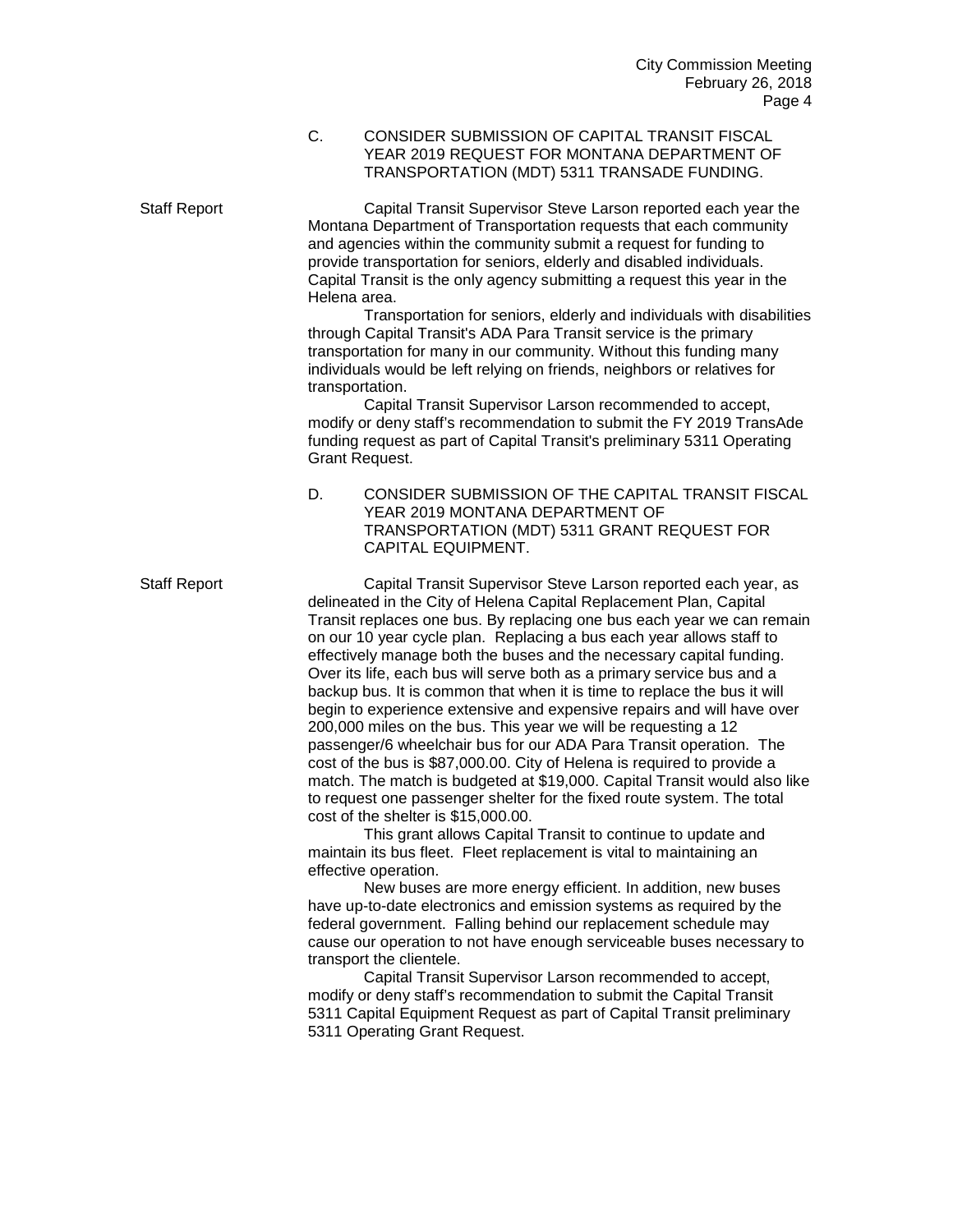C. CONSIDER SUBMISSION OF CAPITAL TRANSIT FISCAL YEAR 2019 REQUEST FOR MONTANA DEPARTMENT OF TRANSPORTATION (MDT) 5311 TRANSADE FUNDING.

Staff Report Capital Transit Supervisor Steve Larson reported each year the Montana Department of Transportation requests that each community and agencies within the community submit a request for funding to provide transportation for seniors, elderly and disabled individuals. Capital Transit is the only agency submitting a request this year in the Helena area.

Transportation for seniors, elderly and individuals with disabilities through Capital Transit's ADA Para Transit service is the primary transportation for many in our community. Without this funding many individuals would be left relying on friends, neighbors or relatives for transportation.

Capital Transit Supervisor Larson recommended to accept, modify or deny staff's recommendation to submit the FY 2019 TransAde funding request as part of Capital Transit's preliminary 5311 Operating Grant Request.

D. CONSIDER SUBMISSION OF THE CAPITAL TRANSIT FISCAL YEAR 2019 MONTANA DEPARTMENT OF TRANSPORTATION (MDT) 5311 GRANT REQUEST FOR CAPITAL EQUIPMENT.

Staff Report Capital Transit Supervisor Steve Larson reported each year, as delineated in the City of Helena Capital Replacement Plan, Capital Transit replaces one bus. By replacing one bus each year we can remain on our 10 year cycle plan. Replacing a bus each year allows staff to effectively manage both the buses and the necessary capital funding. Over its life, each bus will serve both as a primary service bus and a backup bus. It is common that when it is time to replace the bus it will begin to experience extensive and expensive repairs and will have over 200,000 miles on the bus. This year we will be requesting a 12 passenger/6 wheelchair bus for our ADA Para Transit operation. The cost of the bus is \$87,000.00. City of Helena is required to provide a match. The match is budgeted at \$19,000. Capital Transit would also like to request one passenger shelter for the fixed route system. The total cost of the shelter is \$15,000.00.

> This grant allows Capital Transit to continue to update and maintain its bus fleet. Fleet replacement is vital to maintaining an effective operation.

New buses are more energy efficient. In addition, new buses have up-to-date electronics and emission systems as required by the federal government. Falling behind our replacement schedule may cause our operation to not have enough serviceable buses necessary to transport the clientele.

Capital Transit Supervisor Larson recommended to accept, modify or deny staff's recommendation to submit the Capital Transit 5311 Capital Equipment Request as part of Capital Transit preliminary 5311 Operating Grant Request.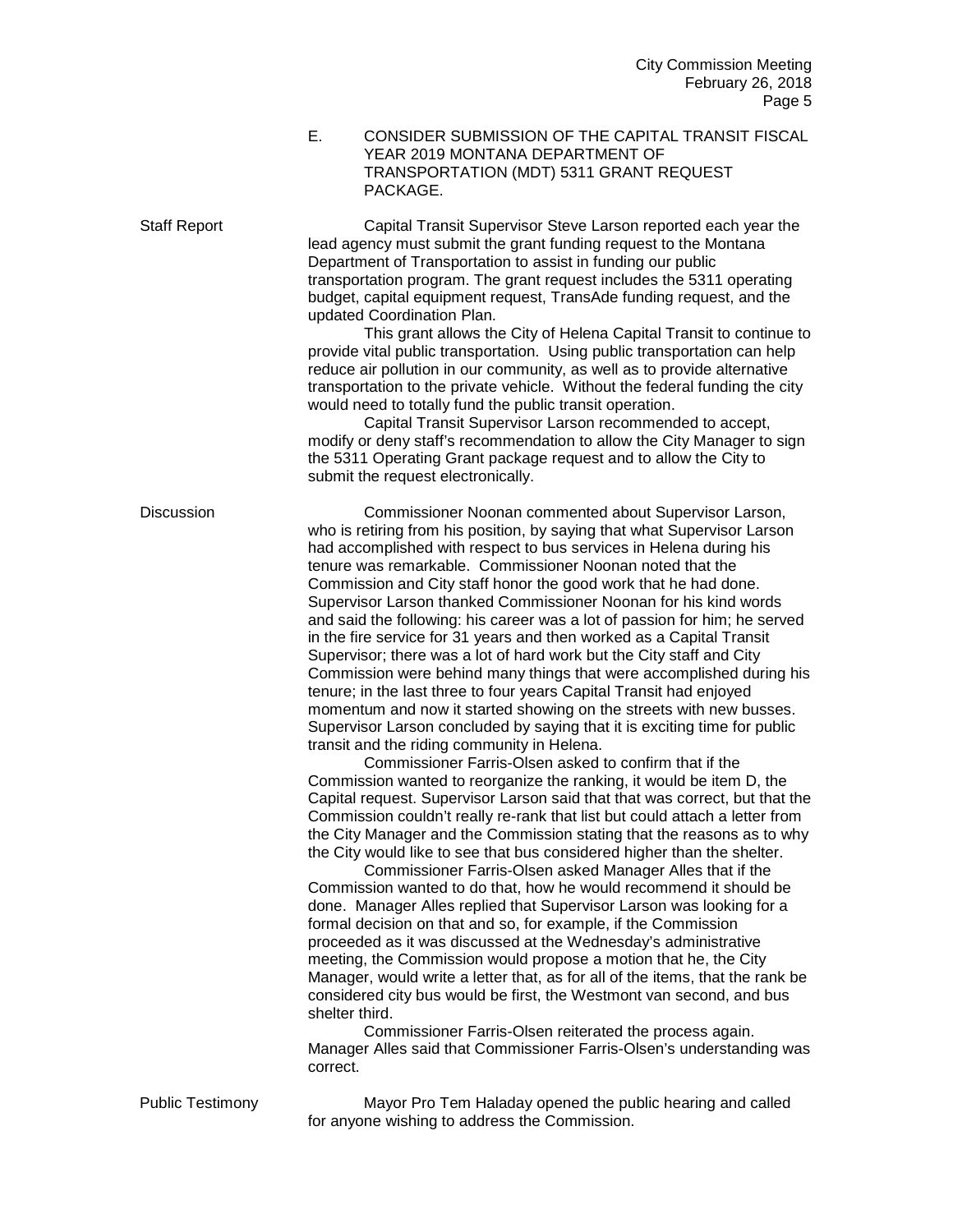E. CONSIDER SUBMISSION OF THE CAPITAL TRANSIT FISCAL YEAR 2019 MONTANA DEPARTMENT OF TRANSPORTATION (MDT) 5311 GRANT REQUEST PACKAGE.

Staff Report Capital Transit Supervisor Steve Larson reported each year the lead agency must submit the grant funding request to the Montana Department of Transportation to assist in funding our public transportation program. The grant request includes the 5311 operating budget, capital equipment request, TransAde funding request, and the updated Coordination Plan.

This grant allows the City of Helena Capital Transit to continue to provide vital public transportation. Using public transportation can help reduce air pollution in our community, as well as to provide alternative transportation to the private vehicle. Without the federal funding the city would need to totally fund the public transit operation.

Capital Transit Supervisor Larson recommended to accept, modify or deny staff's recommendation to allow the City Manager to sign the 5311 Operating Grant package request and to allow the City to submit the request electronically.

Discussion Commissioner Noonan commented about Supervisor Larson, who is retiring from his position, by saying that what Supervisor Larson had accomplished with respect to bus services in Helena during his tenure was remarkable. Commissioner Noonan noted that the Commission and City staff honor the good work that he had done. Supervisor Larson thanked Commissioner Noonan for his kind words and said the following: his career was a lot of passion for him; he served in the fire service for 31 years and then worked as a Capital Transit Supervisor; there was a lot of hard work but the City staff and City Commission were behind many things that were accomplished during his tenure; in the last three to four years Capital Transit had enjoyed momentum and now it started showing on the streets with new busses. Supervisor Larson concluded by saying that it is exciting time for public transit and the riding community in Helena.

Commissioner Farris-Olsen asked to confirm that if the Commission wanted to reorganize the ranking, it would be item D, the Capital request. Supervisor Larson said that that was correct, but that the Commission couldn't really re-rank that list but could attach a letter from the City Manager and the Commission stating that the reasons as to why the City would like to see that bus considered higher than the shelter.

Commissioner Farris-Olsen asked Manager Alles that if the Commission wanted to do that, how he would recommend it should be done. Manager Alles replied that Supervisor Larson was looking for a formal decision on that and so, for example, if the Commission proceeded as it was discussed at the Wednesday's administrative meeting, the Commission would propose a motion that he, the City Manager, would write a letter that, as for all of the items, that the rank be considered city bus would be first, the Westmont van second, and bus shelter third.

Commissioner Farris-Olsen reiterated the process again. Manager Alles said that Commissioner Farris-Olsen's understanding was correct.

Public Testimony Mayor Pro Tem Haladay opened the public hearing and called for anyone wishing to address the Commission.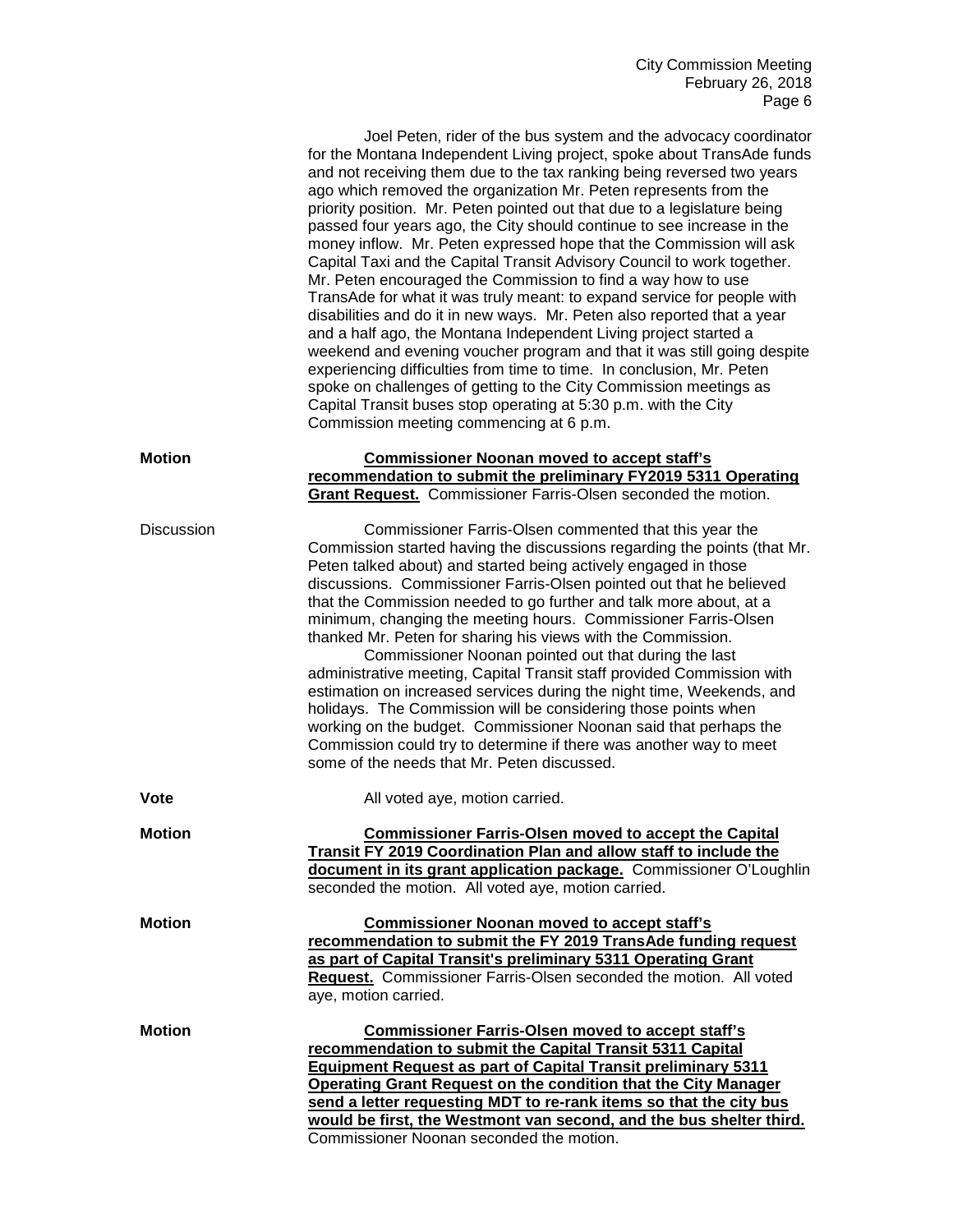|                   | Joel Peten, rider of the bus system and the advocacy coordinator<br>for the Montana Independent Living project, spoke about TransAde funds<br>and not receiving them due to the tax ranking being reversed two years<br>ago which removed the organization Mr. Peten represents from the<br>priority position. Mr. Peten pointed out that due to a legislature being<br>passed four years ago, the City should continue to see increase in the<br>money inflow. Mr. Peten expressed hope that the Commission will ask<br>Capital Taxi and the Capital Transit Advisory Council to work together.<br>Mr. Peten encouraged the Commission to find a way how to use<br>TransAde for what it was truly meant: to expand service for people with<br>disabilities and do it in new ways. Mr. Peten also reported that a year<br>and a half ago, the Montana Independent Living project started a<br>weekend and evening voucher program and that it was still going despite<br>experiencing difficulties from time to time. In conclusion, Mr. Peten<br>spoke on challenges of getting to the City Commission meetings as<br>Capital Transit buses stop operating at 5:30 p.m. with the City<br>Commission meeting commencing at 6 p.m. |
|-------------------|-----------------------------------------------------------------------------------------------------------------------------------------------------------------------------------------------------------------------------------------------------------------------------------------------------------------------------------------------------------------------------------------------------------------------------------------------------------------------------------------------------------------------------------------------------------------------------------------------------------------------------------------------------------------------------------------------------------------------------------------------------------------------------------------------------------------------------------------------------------------------------------------------------------------------------------------------------------------------------------------------------------------------------------------------------------------------------------------------------------------------------------------------------------------------------------------------------------------------------------|
| <b>Motion</b>     | <b>Commissioner Noonan moved to accept staff's</b><br>recommendation to submit the preliminary FY2019 5311 Operating<br>Grant Request. Commissioner Farris-Olsen seconded the motion.                                                                                                                                                                                                                                                                                                                                                                                                                                                                                                                                                                                                                                                                                                                                                                                                                                                                                                                                                                                                                                             |
| <b>Discussion</b> | Commissioner Farris-Olsen commented that this year the<br>Commission started having the discussions regarding the points (that Mr.<br>Peten talked about) and started being actively engaged in those<br>discussions. Commissioner Farris-Olsen pointed out that he believed<br>that the Commission needed to go further and talk more about, at a<br>minimum, changing the meeting hours. Commissioner Farris-Olsen<br>thanked Mr. Peten for sharing his views with the Commission.<br>Commissioner Noonan pointed out that during the last<br>administrative meeting, Capital Transit staff provided Commission with<br>estimation on increased services during the night time, Weekends, and<br>holidays. The Commission will be considering those points when<br>working on the budget. Commissioner Noonan said that perhaps the<br>Commission could try to determine if there was another way to meet<br>some of the needs that Mr. Peten discussed.                                                                                                                                                                                                                                                                        |
| <b>Vote</b>       | All voted aye, motion carried.                                                                                                                                                                                                                                                                                                                                                                                                                                                                                                                                                                                                                                                                                                                                                                                                                                                                                                                                                                                                                                                                                                                                                                                                    |
| <b>Motion</b>     | <b>Commissioner Farris-Olsen moved to accept the Capital</b><br>Transit FY 2019 Coordination Plan and allow staff to include the<br>document in its grant application package. Commissioner O'Loughlin<br>seconded the motion. All voted aye, motion carried.                                                                                                                                                                                                                                                                                                                                                                                                                                                                                                                                                                                                                                                                                                                                                                                                                                                                                                                                                                     |
| <b>Motion</b>     | <b>Commissioner Noonan moved to accept staff's</b><br>recommendation to submit the FY 2019 TransAde funding request<br>as part of Capital Transit's preliminary 5311 Operating Grant<br><b>Request.</b> Commissioner Farris-Olsen seconded the motion. All voted<br>aye, motion carried.                                                                                                                                                                                                                                                                                                                                                                                                                                                                                                                                                                                                                                                                                                                                                                                                                                                                                                                                          |
| <b>Motion</b>     | <b>Commissioner Farris-Olsen moved to accept staff's</b><br>recommendation to submit the Capital Transit 5311 Capital<br><b>Equipment Request as part of Capital Transit preliminary 5311</b><br><b>Operating Grant Request on the condition that the City Manager</b><br>send a letter requesting MDT to re-rank items so that the city bus<br>would be first, the Westmont van second, and the bus shelter third.<br>Commissioner Noonan seconded the motion.                                                                                                                                                                                                                                                                                                                                                                                                                                                                                                                                                                                                                                                                                                                                                                   |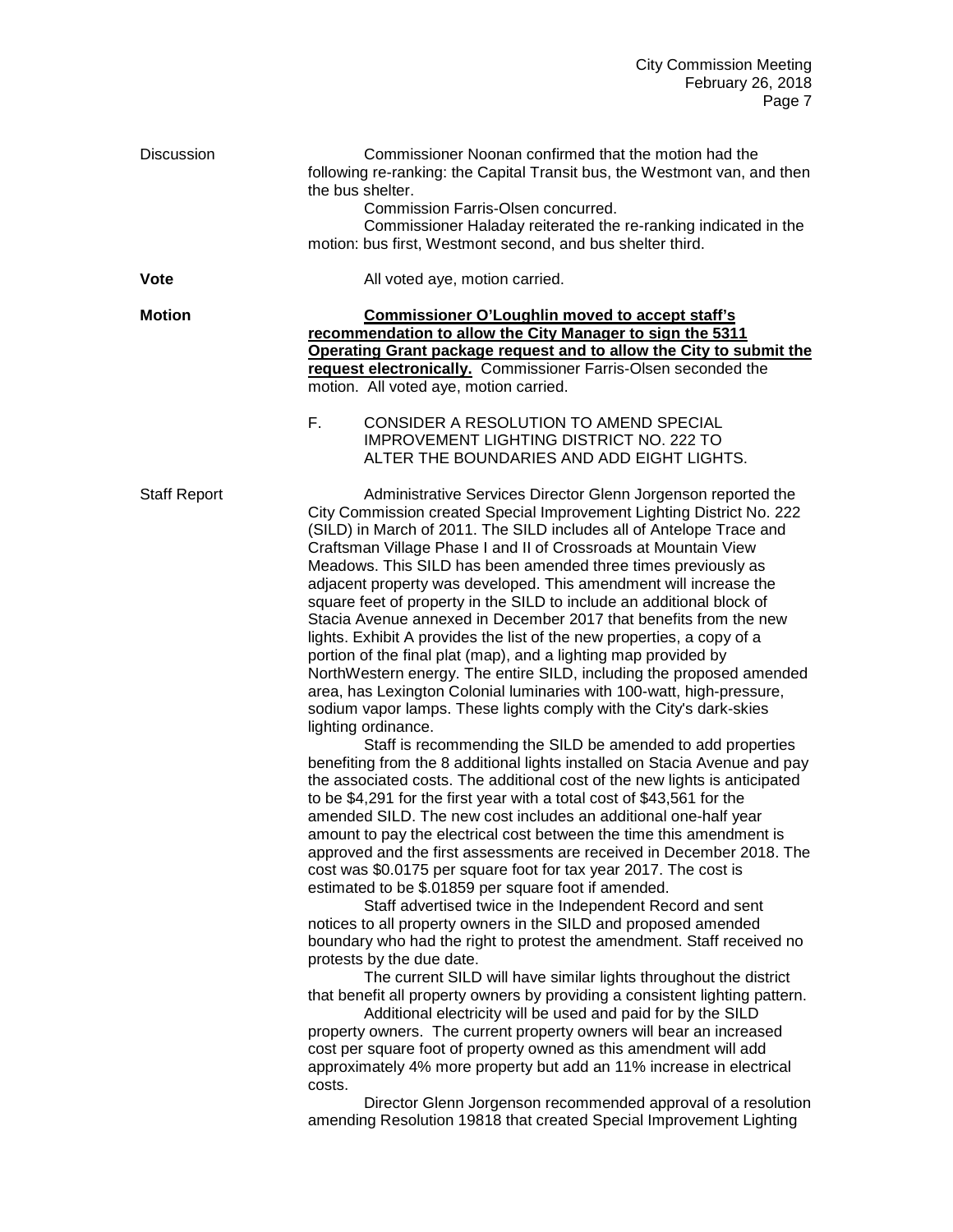| Discussion          | Commissioner Noonan confirmed that the motion had the<br>following re-ranking: the Capital Transit bus, the Westmont van, and then<br>the bus shelter.<br>Commission Farris-Olsen concurred.<br>Commissioner Haladay reiterated the re-ranking indicated in the<br>motion: bus first, Westmont second, and bus shelter third.                                                                                                                                                                                                                                                                                                                                                                                                                                                                                                                                                                                                                                                                                                                                                                                                                                                                                                                                                                                                                                                                                                                                                                                                                                                                                                                                                                                                                                                                                                                                                                                                                                                                                                                                                                                                                                                                                                                                                                                                                                                                                                                           |
|---------------------|---------------------------------------------------------------------------------------------------------------------------------------------------------------------------------------------------------------------------------------------------------------------------------------------------------------------------------------------------------------------------------------------------------------------------------------------------------------------------------------------------------------------------------------------------------------------------------------------------------------------------------------------------------------------------------------------------------------------------------------------------------------------------------------------------------------------------------------------------------------------------------------------------------------------------------------------------------------------------------------------------------------------------------------------------------------------------------------------------------------------------------------------------------------------------------------------------------------------------------------------------------------------------------------------------------------------------------------------------------------------------------------------------------------------------------------------------------------------------------------------------------------------------------------------------------------------------------------------------------------------------------------------------------------------------------------------------------------------------------------------------------------------------------------------------------------------------------------------------------------------------------------------------------------------------------------------------------------------------------------------------------------------------------------------------------------------------------------------------------------------------------------------------------------------------------------------------------------------------------------------------------------------------------------------------------------------------------------------------------------------------------------------------------------------------------------------------------|
| <b>Vote</b>         | All voted aye, motion carried.                                                                                                                                                                                                                                                                                                                                                                                                                                                                                                                                                                                                                                                                                                                                                                                                                                                                                                                                                                                                                                                                                                                                                                                                                                                                                                                                                                                                                                                                                                                                                                                                                                                                                                                                                                                                                                                                                                                                                                                                                                                                                                                                                                                                                                                                                                                                                                                                                          |
| <b>Motion</b>       | <b>Commissioner O'Loughlin moved to accept staff's</b><br>recommendation to allow the City Manager to sign the 5311<br>Operating Grant package request and to allow the City to submit the<br>request electronically. Commissioner Farris-Olsen seconded the<br>motion. All voted aye, motion carried.<br>F.<br>CONSIDER A RESOLUTION TO AMEND SPECIAL<br><b>IMPROVEMENT LIGHTING DISTRICT NO. 222 TO</b><br>ALTER THE BOUNDARIES AND ADD EIGHT LIGHTS.                                                                                                                                                                                                                                                                                                                                                                                                                                                                                                                                                                                                                                                                                                                                                                                                                                                                                                                                                                                                                                                                                                                                                                                                                                                                                                                                                                                                                                                                                                                                                                                                                                                                                                                                                                                                                                                                                                                                                                                                 |
| <b>Staff Report</b> | Administrative Services Director Glenn Jorgenson reported the<br>City Commission created Special Improvement Lighting District No. 222<br>(SILD) in March of 2011. The SILD includes all of Antelope Trace and<br>Craftsman Village Phase I and II of Crossroads at Mountain View<br>Meadows. This SILD has been amended three times previously as<br>adjacent property was developed. This amendment will increase the<br>square feet of property in the SILD to include an additional block of<br>Stacia Avenue annexed in December 2017 that benefits from the new<br>lights. Exhibit A provides the list of the new properties, a copy of a<br>portion of the final plat (map), and a lighting map provided by<br>NorthWestern energy. The entire SILD, including the proposed amended<br>area, has Lexington Colonial luminaries with 100-watt, high-pressure,<br>sodium vapor lamps. These lights comply with the City's dark-skies<br>lighting ordinance.<br>Staff is recommending the SILD be amended to add properties<br>benefiting from the 8 additional lights installed on Stacia Avenue and pay<br>the associated costs. The additional cost of the new lights is anticipated<br>to be \$4,291 for the first year with a total cost of \$43,561 for the<br>amended SILD. The new cost includes an additional one-half year<br>amount to pay the electrical cost between the time this amendment is<br>approved and the first assessments are received in December 2018. The<br>cost was \$0.0175 per square foot for tax year 2017. The cost is<br>estimated to be \$.01859 per square foot if amended.<br>Staff advertised twice in the Independent Record and sent<br>notices to all property owners in the SILD and proposed amended<br>boundary who had the right to protest the amendment. Staff received no<br>protests by the due date.<br>The current SILD will have similar lights throughout the district<br>that benefit all property owners by providing a consistent lighting pattern.<br>Additional electricity will be used and paid for by the SILD<br>property owners. The current property owners will bear an increased<br>cost per square foot of property owned as this amendment will add<br>approximately 4% more property but add an 11% increase in electrical<br>costs.<br>Director Glenn Jorgenson recommended approval of a resolution<br>amending Resolution 19818 that created Special Improvement Lighting |